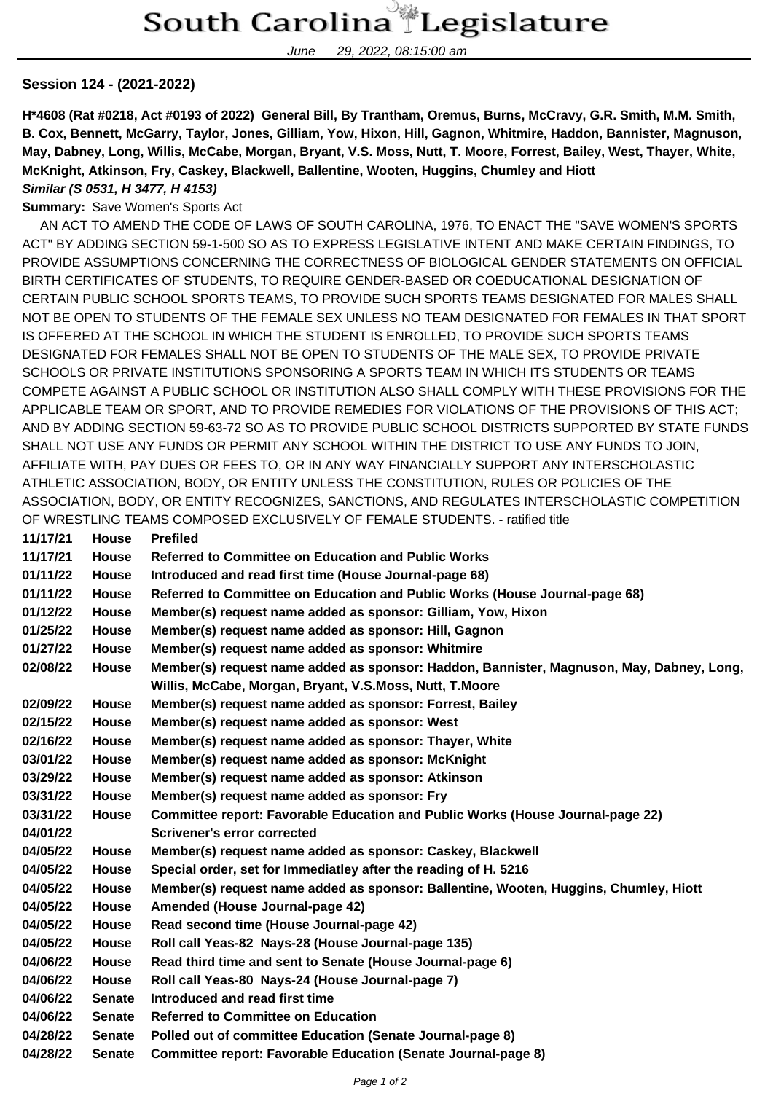June 29, 2022, 08:15:00 am

## **Session 124 - (2021-2022)**

**H\*4608 (Rat #0218, Act #0193 of 2022) General Bill, By Trantham, Oremus, Burns, McCravy, G.R. Smith, M.M. Smith, B. Cox, Bennett, McGarry, Taylor, Jones, Gilliam, Yow, Hixon, Hill, Gagnon, Whitmire, Haddon, Bannister, Magnuson, May, Dabney, Long, Willis, McCabe, Morgan, Bryant, V.S. Moss, Nutt, T. Moore, Forrest, Bailey, West, Thayer, White, McKnight, Atkinson, Fry, Caskey, Blackwell, Ballentine, Wooten, Huggins, Chumley and Hiott**

## **Similar (S 0531, H 3477, H 4153)**

## **Summary:** Save Women's Sports Act

 AN ACT TO AMEND THE CODE OF LAWS OF SOUTH CAROLINA, 1976, TO ENACT THE "SAVE WOMEN'S SPORTS ACT" BY ADDING SECTION 59-1-500 SO AS TO EXPRESS LEGISLATIVE INTENT AND MAKE CERTAIN FINDINGS, TO PROVIDE ASSUMPTIONS CONCERNING THE CORRECTNESS OF BIOLOGICAL GENDER STATEMENTS ON OFFICIAL BIRTH CERTIFICATES OF STUDENTS, TO REQUIRE GENDER-BASED OR COEDUCATIONAL DESIGNATION OF CERTAIN PUBLIC SCHOOL SPORTS TEAMS, TO PROVIDE SUCH SPORTS TEAMS DESIGNATED FOR MALES SHALL NOT BE OPEN TO STUDENTS OF THE FEMALE SEX UNLESS NO TEAM DESIGNATED FOR FEMALES IN THAT SPORT IS OFFERED AT THE SCHOOL IN WHICH THE STUDENT IS ENROLLED, TO PROVIDE SUCH SPORTS TEAMS DESIGNATED FOR FEMALES SHALL NOT BE OPEN TO STUDENTS OF THE MALE SEX, TO PROVIDE PRIVATE SCHOOLS OR PRIVATE INSTITUTIONS SPONSORING A SPORTS TEAM IN WHICH ITS STUDENTS OR TEAMS COMPETE AGAINST A PUBLIC SCHOOL OR INSTITUTION ALSO SHALL COMPLY WITH THESE PROVISIONS FOR THE APPLICABLE TEAM OR SPORT, AND TO PROVIDE REMEDIES FOR VIOLATIONS OF THE PROVISIONS OF THIS ACT; AND BY ADDING SECTION 59-63-72 SO AS TO PROVIDE PUBLIC SCHOOL DISTRICTS SUPPORTED BY STATE FUNDS SHALL NOT USE ANY FUNDS OR PERMIT ANY SCHOOL WITHIN THE DISTRICT TO USE ANY FUNDS TO JOIN, AFFILIATE WITH, PAY DUES OR FEES TO, OR IN ANY WAY FINANCIALLY SUPPORT ANY INTERSCHOLASTIC ATHLETIC ASSOCIATION, BODY, OR ENTITY UNLESS THE CONSTITUTION, RULES OR POLICIES OF THE ASSOCIATION, BODY, OR ENTITY RECOGNIZES, SANCTIONS, AND REGULATES INTERSCHOLASTIC COMPETITION OF WRESTLING TEAMS COMPOSED EXCLUSIVELY OF FEMALE STUDENTS. - ratified title **11/17/21 House Prefiled**

| 1111721  | nuuse         | <u>riellied</u>                                                                          |
|----------|---------------|------------------------------------------------------------------------------------------|
| 11/17/21 | <b>House</b>  | <b>Referred to Committee on Education and Public Works</b>                               |
| 01/11/22 | <b>House</b>  | Introduced and read first time (House Journal-page 68)                                   |
| 01/11/22 | <b>House</b>  | Referred to Committee on Education and Public Works (House Journal-page 68)              |
| 01/12/22 | <b>House</b>  | Member(s) request name added as sponsor: Gilliam, Yow, Hixon                             |
| 01/25/22 | <b>House</b>  | Member(s) request name added as sponsor: Hill, Gagnon                                    |
| 01/27/22 | <b>House</b>  | Member(s) request name added as sponsor: Whitmire                                        |
| 02/08/22 | <b>House</b>  | Member(s) request name added as sponsor: Haddon, Bannister, Magnuson, May, Dabney, Long, |
|          |               | Willis, McCabe, Morgan, Bryant, V.S.Moss, Nutt, T.Moore                                  |
| 02/09/22 | <b>House</b>  | Member(s) request name added as sponsor: Forrest, Bailey                                 |
| 02/15/22 | <b>House</b>  | Member(s) request name added as sponsor: West                                            |
| 02/16/22 | <b>House</b>  | Member(s) request name added as sponsor: Thayer, White                                   |
| 03/01/22 | <b>House</b>  | Member(s) request name added as sponsor: McKnight                                        |
| 03/29/22 | House         | Member(s) request name added as sponsor: Atkinson                                        |
| 03/31/22 | <b>House</b>  | Member(s) request name added as sponsor: Fry                                             |
| 03/31/22 | House         | Committee report: Favorable Education and Public Works (House Journal-page 22)           |
| 04/01/22 |               | <b>Scrivener's error corrected</b>                                                       |
| 04/05/22 | House         | Member(s) request name added as sponsor: Caskey, Blackwell                               |
| 04/05/22 | <b>House</b>  | Special order, set for Immediatley after the reading of H. 5216                          |
| 04/05/22 | <b>House</b>  | Member(s) request name added as sponsor: Ballentine, Wooten, Huggins, Chumley, Hiott     |
| 04/05/22 | <b>House</b>  | Amended (House Journal-page 42)                                                          |
| 04/05/22 | <b>House</b>  | Read second time (House Journal-page 42)                                                 |
| 04/05/22 | <b>House</b>  | Roll call Yeas-82 Nays-28 (House Journal-page 135)                                       |
| 04/06/22 | <b>House</b>  | Read third time and sent to Senate (House Journal-page 6)                                |
| 04/06/22 | House         | Roll call Yeas-80 Nays-24 (House Journal-page 7)                                         |
| 04/06/22 | <b>Senate</b> | Introduced and read first time                                                           |
| 04/06/22 | <b>Senate</b> | <b>Referred to Committee on Education</b>                                                |
| 04/28/22 | <b>Senate</b> | Polled out of committee Education (Senate Journal-page 8)                                |
| 04/28/22 | <b>Senate</b> | <b>Committee report: Favorable Education (Senate Journal-page 8)</b>                     |